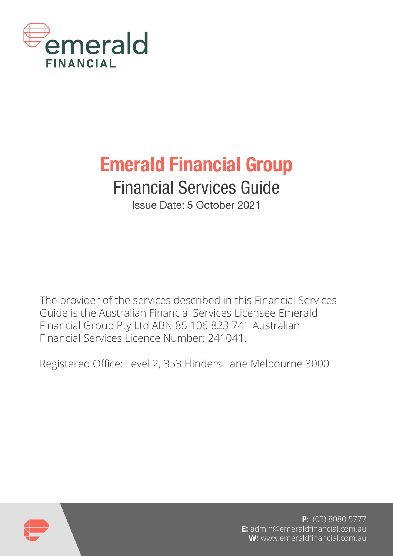

# Emerald Financial Group

# Financial Services Guide

Issue Date: 5 October 2021

The provider of the services described in this Financial Services Guide is the Australian Financial Services Licensee Emerald Financial Group Pty Ltd ABN 85 106 823 741 Australian Financial Services Licence Number: 241041.

Registered Office: Level 2, 353 Flinders Lane Melbourne 3000



**P**: (03) 8080 5777 **E:** admin@emeraldfinancial.com.au **W:** www.emeraldfinancial.com.au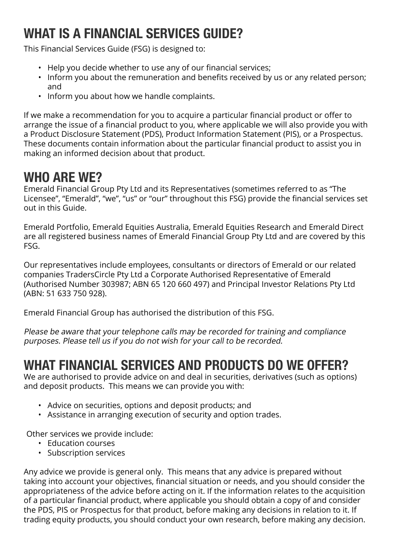## WHAT IS A FINANCIAL SERVICES GUIDE?

This Financial Services Guide (FSG) is designed to:

- Help you decide whether to use any of our financial services;
- Inform you about the remuneration and benefits received by us or any related person; and
- Inform you about how we handle complaints.

If we make a recommendation for you to acquire a particular financial product or offer to arrange the issue of a financial product to you, where applicable we will also provide you with a Product Disclosure Statement (PDS), Product Information Statement (PIS), or a Prospectus. These documents contain information about the particular financial product to assist you in making an informed decision about that product.

## WHO ARE WE?

Emerald Financial Group Pty Ltd and its Representatives (sometimes referred to as "The Licensee", "Emerald", "we", "us" or "our" throughout this FSG) provide the financial services set out in this Guide.

Emerald Portfolio, Emerald Equities Australia, Emerald Equities Research and Emerald Direct are all registered business names of Emerald Financial Group Pty Ltd and are covered by this FSG.

Our representatives include employees, consultants or directors of Emerald or our related companies TradersCircle Pty Ltd a Corporate Authorised Representative of Emerald (Authorised Number 303987; ABN 65 120 660 497) and Principal Investor Relations Pty Ltd (ABN: 51 633 750 928).

Emerald Financial Group has authorised the distribution of this FSG.

Please be aware that your telephone calls may be recorded for training and compliance purposes. Please tell us if you do not wish for your call to be recorded.

## WHAT FINANCIAL SERVICES AND PRODUCTS DO WE OFFER?

We are authorised to provide advice on and deal in securities, derivatives (such as options) and deposit products. This means we can provide you with:

- Advice on securities, options and deposit products; and
- Assistance in arranging execution of security and option trades.

Other services we provide include:

- Education courses
- Subscription services

Any advice we provide is general only. This means that any advice is prepared without taking into account your objectives, financial situation or needs, and you should consider the appropriateness of the advice before acting on it. If the information relates to the acquisition of a particular financial product, where applicable you should obtain a copy of and consider the PDS, PIS or Prospectus for that product, before making any decisions in relation to it. If trading equity products, you should conduct your own research, before making any decision.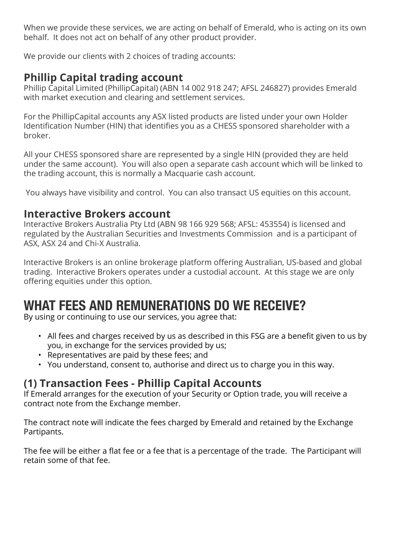When we provide these services, we are acting on behalf of Emerald, who is acting on its own behalf. It does not act on behalf of any other product provider.

We provide our clients with 2 choices of trading accounts:

## **Phillip Capital trading account**

Phillip Capital Limited (PhillipCapital) (ABN 14 002 918 247; AFSL 246827) provides Emerald with market execution and clearing and settlement services.

For the PhillipCapital accounts any ASX listed products are listed under your own Holder Identification Number (HIN) that identifies you as a CHESS sponsored shareholder with a broker.

All your CHESS sponsored share are represented by a single HIN (provided they are held under the same account). You will also open a separate cash account which will be linked to the trading account, this is normally a Macquarie cash account.

You always have visibility and control. You can also transact US equities on this account.

#### **Interactive Brokers account**

Interactive Brokers Australia Pty Ltd (ABN 98 166 929 568; AFSL: 453554) is licensed and regulated by the Australian Securities and Investments Commission and is a participant of ASX, ASX 24 and Chi-X Australia.

Interactive Brokers is an online brokerage platform offering Australian, US-based and global trading. Interactive Brokers operates under a custodial account. At this stage we are only offering equities under this option.

## WHAT FEES AND REMUNERATIONS DO WE RECEIVE?

By using or continuing to use our services, you agree that:

- All fees and charges received by us as described in this FSG are a benefit given to us by you, in exchange for the services provided by us;
- Representatives are paid by these fees; and
- You understand, consent to, authorise and direct us to charge you in this way.

#### **(1) Transaction Fees - Phillip Capital Accounts**

If Emerald arranges for the execution of your Security or Option trade, you will receive a contract note from the Exchange member.

The contract note will indicate the fees charged by Emerald and retained by the Exchange Partipants.

The fee will be either a flat fee or a fee that is a percentage of the trade. The Participant will retain some of that fee.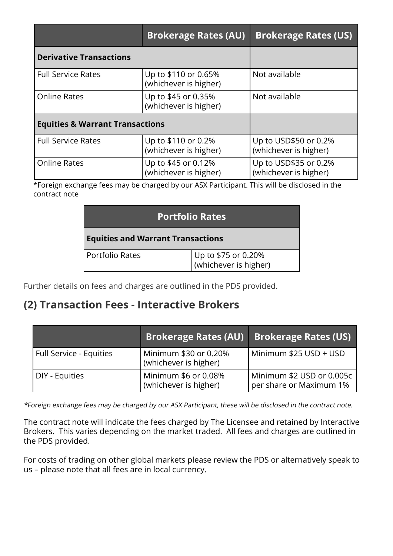|                                            | <b>Brokerage Rates (AU)</b>                   | <b>Brokerage Rates (US)</b>                    |
|--------------------------------------------|-----------------------------------------------|------------------------------------------------|
| <b>Derivative Transactions</b>             |                                               |                                                |
| <b>Full Service Rates</b>                  | Up to \$110 or 0.65%<br>(whichever is higher) | Not available                                  |
| <b>Online Rates</b>                        | Up to \$45 or 0.35%<br>(whichever is higher)  | Not available                                  |
| <b>Equities &amp; Warrant Transactions</b> |                                               |                                                |
| <b>Full Service Rates</b>                  | Up to \$110 or 0.2%<br>(whichever is higher)  | Up to USD\$50 or 0.2%<br>(whichever is higher) |
| <b>Online Rates</b>                        | Up to \$45 or 0.12%<br>(whichever is higher)  | Up to USD\$35 or 0.2%<br>(whichever is higher) |

\*Foreign exchange fees may be charged by our ASX Participant. This will be disclosed in the contract note

| <b>Portfolio Rates</b>                   |                                              |  |
|------------------------------------------|----------------------------------------------|--|
| <b>Equities and Warrant Transactions</b> |                                              |  |
| Portfolio Rates                          | Up to \$75 or 0.20%<br>(whichever is higher) |  |

Further details on fees and charges are outlined in the PDS provided.

#### **(2) Transaction Fees - Interactive Brokers**

|                         | <b>Brokerage Rates (AU)</b>                    | <b>Brokerage Rates (US)</b>                          |
|-------------------------|------------------------------------------------|------------------------------------------------------|
| Full Service - Equities | Minimum \$30 or 0.20%<br>(whichever is higher) | Minimum \$25 USD + USD                               |
| DIY - Equities          | Minimum \$6 or 0.08%<br>(whichever is higher)  | Minimum \$2 USD or 0.005c<br>per share or Maximum 1% |

\*Foreign exchange fees may be charged by our ASX Participant, these will be disclosed in the contract note.

The contract note will indicate the fees charged by The Licensee and retained by Interactive Brokers. This varies depending on the market traded. All fees and charges are outlined in the PDS provided.

For costs of trading on other global markets please review the PDS or alternatively speak to us – please note that all fees are in local currency.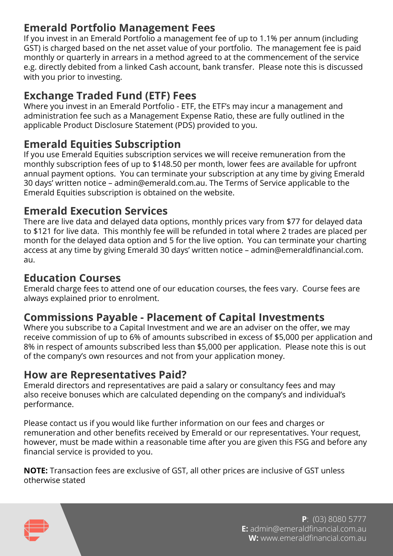### **Emerald Portfolio Management Fees**

If you invest in an Emerald Portfolio a management fee of up to 1.1% per annum (including GST) is charged based on the net asset value of your portfolio. The management fee is paid monthly or quarterly in arrears in a method agreed to at the commencement of the service e.g. directly debited from a linked Cash account, bank transfer. Please note this is discussed with you prior to investing.

#### **Exchange Traded Fund (ETF) Fees**

Where you invest in an Emerald Portfolio - ETF, the ETF's may incur a management and administration fee such as a Management Expense Ratio, these are fully outlined in the applicable Product Disclosure Statement (PDS) provided to you.

#### **Emerald Equities Subscription**

If you use Emerald Equities subscription services we will receive remuneration from the monthly subscription fees of up to \$148.50 per month, lower fees are available for upfront annual payment options. You can terminate your subscription at any time by giving Emerald 30 days' written notice – admin@emerald.com.au. The Terms of Service applicable to the Emerald Equities subscription is obtained on the website.

#### **Emerald Execution Services**

There are live data and delayed data options, monthly prices vary from \$77 for delayed data to \$121 for live data. This monthly fee will be refunded in total where 2 trades are placed per month for the delayed data option and 5 for the live option. You can terminate your charting access at any time by giving Emerald 30 days' written notice – admin@emeraldfinancial.com. au.

#### **Education Courses**

Emerald charge fees to attend one of our education courses, the fees vary. Course fees are always explained prior to enrolment.

#### **Commissions Payable - Placement of Capital Investments**

Where you subscribe to a Capital Investment and we are an adviser on the offer, we may receive commission of up to 6% of amounts subscribed in excess of \$5,000 per application and 8% in respect of amounts subscribed less than \$5,000 per application. Please note this is out of the company's own resources and not from your application money.

#### **How are Representatives Paid?**

Emerald directors and representatives are paid a salary or consultancy fees and may also receive bonuses which are calculated depending on the company's and individual's performance.

Please contact us if you would like further information on our fees and charges or remuneration and other benefits received by Emerald or our representatives. Your request, however, must be made within a reasonable time after you are given this FSG and before any financial service is provided to you.

**NOTE:** Transaction fees are exclusive of GST, all other prices are inclusive of GST unless otherwise stated



**P**: (03) 8080 5777 **E:** admin@emeraldfinancial.com.au **W:** www.emeraldfinancial.com.au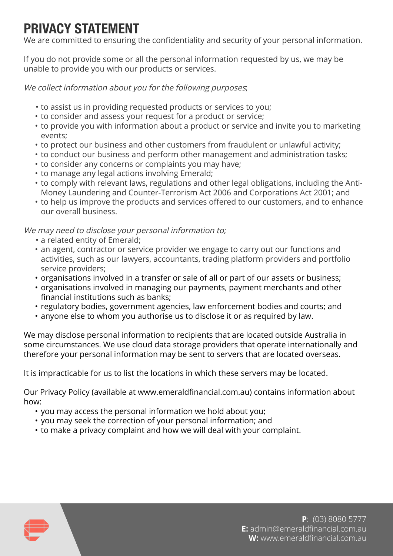## PRIVACY STATEMENT

We are committed to ensuring the confidentiality and security of your personal information.

If you do not provide some or all the personal information requested by us, we may be unable to provide you with our products or services.

We collect information about you for the following purposes;

- to assist us in providing requested products or services to you;
- to consider and assess your request for a product or service;
- to provide you with information about a product or service and invite you to marketing events;
- to protect our business and other customers from fraudulent or unlawful activity;
- to conduct our business and perform other management and administration tasks;
- to consider any concerns or complaints you may have;
- to manage any legal actions involving Emerald;
- to comply with relevant laws, regulations and other legal obligations, including the Anti-Money Laundering and Counter-Terrorism Act 2006 and Corporations Act 2001; and
- to help us improve the products and services offered to our customers, and to enhance our overall business.

We may need to disclose your personal information to;

- a related entity of Emerald;
- an agent, contractor or service provider we engage to carry out our functions and activities, such as our lawyers, accountants, trading platform providers and portfolio service providers;
- organisations involved in a transfer or sale of all or part of our assets or business;
- organisations involved in managing our payments, payment merchants and other financial institutions such as banks;
- regulatory bodies, government agencies, law enforcement bodies and courts; and
- anyone else to whom you authorise us to disclose it or as required by law.

We may disclose personal information to recipients that are located outside Australia in some circumstances. We use cloud data storage providers that operate internationally and therefore your personal information may be sent to servers that are located overseas.

It is impracticable for us to list the locations in which these servers may be located.

Our Privacy Policy (available at www.emeraldfinancial.com.au) contains information about how:

- you may access the personal information we hold about you;
- you may seek the correction of your personal information; and
- to make a privacy complaint and how we will deal with your complaint.